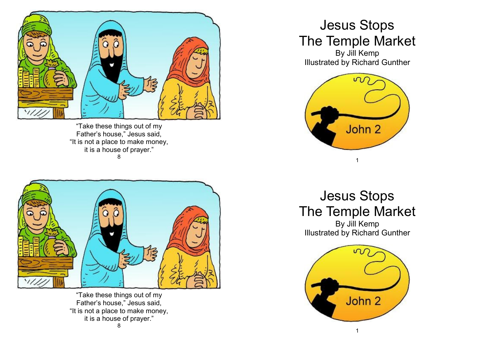

"Take these things out of my Father's house," Jesus said, "It is not a place to make money, it is a house of prayer." 8



"Take these things out of my Father's house," Jesus said, "It is not a place to make money, it is a house of prayer." 8

## Jesus Stops The Temple Market

By Jill Kemp Illustrated by Richard Gunther



Jesus Stops The Temple Market

By Jill Kemp Illustrated by Richard Gunther

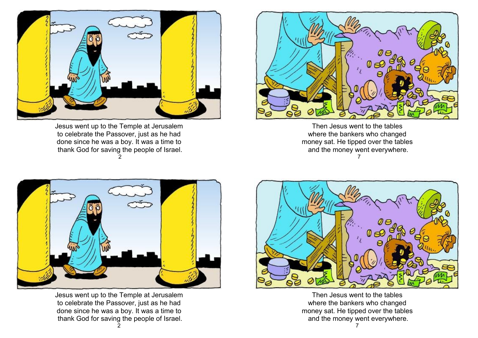

Jesus went up to the Temple at Jerusalem to celebrate the Passover, just as he had done since he was a boy. It was a time to thank God for saving the people of Israel. 2



Then Jesus went to the tables where the bankers who changed money sat. He tipped over the tables and the money went everywhere. 7



Jesus went up to the Temple at Jerusalem to celebrate the Passover, just as he had done since he was a boy. It was a time to thank God for saving the people of Israel.



Then Jesus went to the tables where the bankers who changed money sat. He tipped over the tables and the money went everywhere.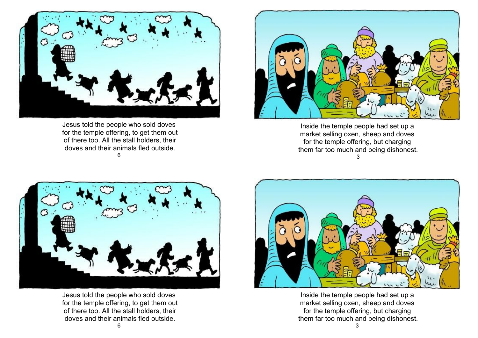

Jesus told the people who sold doves for the temple offering, to get them out of there too. All the stall holders, their doves and their animals fled outside. 6



Inside the temple people had set up a market selling oxen, sheep and doves for the temple offering, but charging them far too much and being dishonest. 3



Jesus told the people who sold doves for the temple offering, to get them out of there too. All the stall holders, their doves and their animals fled outside.



Inside the temple people had set up a market selling oxen, sheep and doves for the temple offering, but charging them far too much and being dishonest.